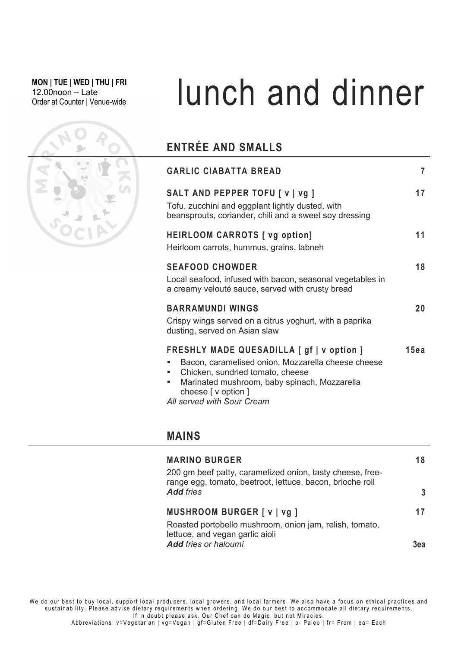MON | TUE | WED | THU | FRI 12.00noon – Late

# MON|TUE|WED|THU|FRI<br>12.00noon – Late Lunch and dinner

## ENTRÉE AND SMALLS

|  | <b>GARLIC CIABATTA BREAD</b>                                                                                                                                                                                                             | 7    |
|--|------------------------------------------------------------------------------------------------------------------------------------------------------------------------------------------------------------------------------------------|------|
|  | SALT AND PEPPER TOFU [ v   vg ]<br>Tofu, zucchini and eggplant lightly dusted, with<br>beansprouts, coriander, chili and a sweet soy dressing                                                                                            | 17   |
|  | <b>HEIRLOOM CARROTS</b> [ vg option]<br>Heirloom carrots, hummus, grains, labneh                                                                                                                                                         | 11   |
|  | <b>SEAFOOD CHOWDER</b><br>Local seafood, infused with bacon, seasonal vegetables in<br>a creamy velouté sauce, served with crusty bread                                                                                                  | 18   |
|  | <b>BARRAMUNDI WINGS</b><br>Crispy wings served on a citrus yoghurt, with a paprika<br>dusting, served on Asian slaw                                                                                                                      | 20   |
|  | FRESHLY MADE QUESADILLA [ gf   v option ]<br>Bacon, caramelised onion, Mozzarella cheese cheese<br>Chicken, sundried tomato, cheese<br>Marinated mushroom, baby spinach, Mozzarella<br>cheese [ v option ]<br>All served with Sour Cream | 15ea |

### MAINS

| <b>MARINO BURGER</b><br>200 gm beef patty, caramelized onion, tasty cheese, free- | 18                                                                                           |
|-----------------------------------------------------------------------------------|----------------------------------------------------------------------------------------------|
| <b>Add fries</b>                                                                  | 3                                                                                            |
| MUSHROOM BURGER [ v   vg ]                                                        | 17                                                                                           |
| Roasted portobello mushroom, onion jam, relish, tomato,                           |                                                                                              |
| <b>Add fries or haloumi</b>                                                       | 3ea                                                                                          |
|                                                                                   | range egg, tomato, beetroot, lettuce, bacon, brioche roll<br>lettuce, and vegan garlic aioli |

We do our best to buy local, support local producers, local growers, and local farmers. We also have a focus on ethical practices and sustainability. Please advise dietary requirements when ordering. We do our best to accommodate all dietary requirements. If in doubt please ask. Our Chef can do Magic, but not Miracles.